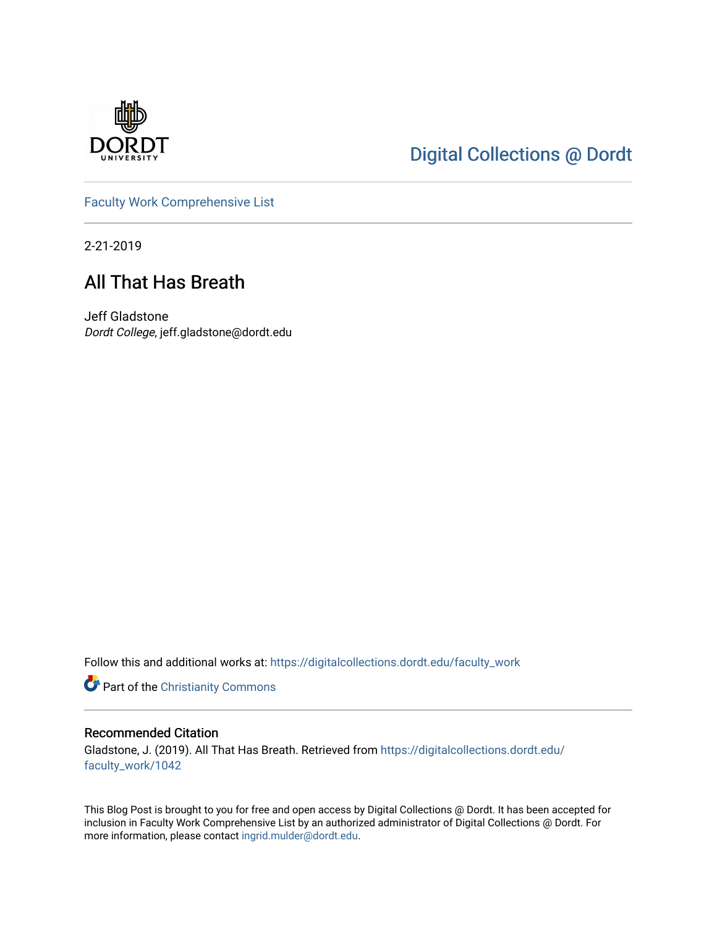

## [Digital Collections @ Dordt](https://digitalcollections.dordt.edu/)

[Faculty Work Comprehensive List](https://digitalcollections.dordt.edu/faculty_work)

2-21-2019

## All That Has Breath

Jeff Gladstone Dordt College, jeff.gladstone@dordt.edu

Follow this and additional works at: [https://digitalcollections.dordt.edu/faculty\\_work](https://digitalcollections.dordt.edu/faculty_work?utm_source=digitalcollections.dordt.edu%2Ffaculty_work%2F1042&utm_medium=PDF&utm_campaign=PDFCoverPages) 

Part of the [Christianity Commons](http://network.bepress.com/hgg/discipline/1181?utm_source=digitalcollections.dordt.edu%2Ffaculty_work%2F1042&utm_medium=PDF&utm_campaign=PDFCoverPages) 

#### Recommended Citation

Gladstone, J. (2019). All That Has Breath. Retrieved from [https://digitalcollections.dordt.edu/](https://digitalcollections.dordt.edu/faculty_work/1042?utm_source=digitalcollections.dordt.edu%2Ffaculty_work%2F1042&utm_medium=PDF&utm_campaign=PDFCoverPages) [faculty\\_work/1042](https://digitalcollections.dordt.edu/faculty_work/1042?utm_source=digitalcollections.dordt.edu%2Ffaculty_work%2F1042&utm_medium=PDF&utm_campaign=PDFCoverPages) 

This Blog Post is brought to you for free and open access by Digital Collections @ Dordt. It has been accepted for inclusion in Faculty Work Comprehensive List by an authorized administrator of Digital Collections @ Dordt. For more information, please contact [ingrid.mulder@dordt.edu.](mailto:ingrid.mulder@dordt.edu)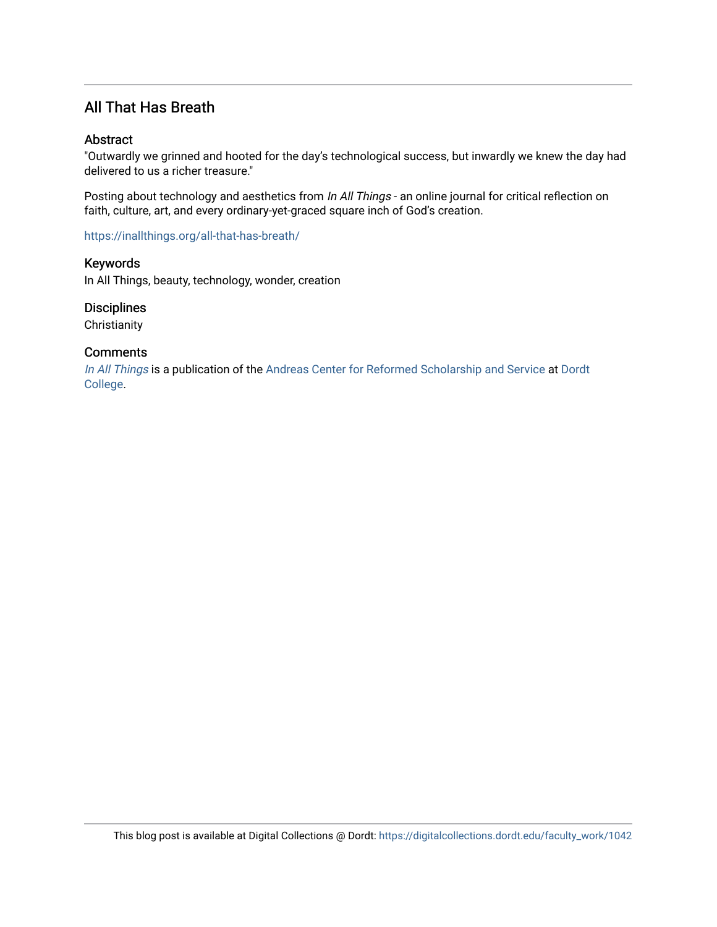### All That Has Breath

#### Abstract

"Outwardly we grinned and hooted for the day's technological success, but inwardly we knew the day had delivered to us a richer treasure."

Posting about technology and aesthetics from In All Things - an online journal for critical reflection on faith, culture, art, and every ordinary-yet-graced square inch of God's creation.

<https://inallthings.org/all-that-has-breath/>

Keywords In All Things, beauty, technology, wonder, creation

**Disciplines** 

**Christianity** 

#### **Comments**

[In All Things](http://inallthings.org/) is a publication of the [Andreas Center for Reformed Scholarship and Service](http://www.dordt.edu/services_support/andreas_center/) at Dordt [College](http://www.dordt.edu/).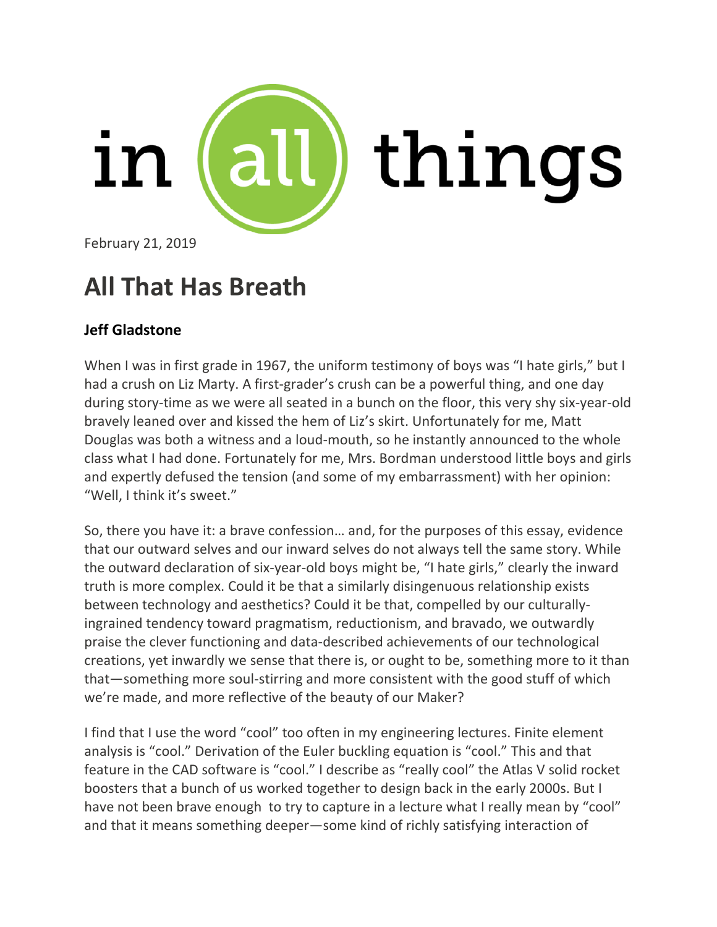

February 21, 2019

# **All That Has Breath**

## **Jeff Gladstone**

When I was in first grade in 1967, the uniform testimony of boys was "I hate girls," but I had a crush on Liz Marty. A first-grader's crush can be a powerful thing, and one day during story-time as we were all seated in a bunch on the floor, this very shy six-year-old bravely leaned over and kissed the hem of Liz's skirt. Unfortunately for me, Matt Douglas was both a witness and a loud-mouth, so he instantly announced to the whole class what I had done. Fortunately for me, Mrs. Bordman understood little boys and girls and expertly defused the tension (and some of my embarrassment) with her opinion: "Well, I think it's sweet."

So, there you have it: a brave confession… and, for the purposes of this essay, evidence that our outward selves and our inward selves do not always tell the same story. While the outward declaration of six-year-old boys might be, "I hate girls," clearly the inward truth is more complex. Could it be that a similarly disingenuous relationship exists between technology and aesthetics? Could it be that, compelled by our culturallyingrained tendency toward pragmatism, reductionism, and bravado, we outwardly praise the clever functioning and data-described achievements of our technological creations, yet inwardly we sense that there is, or ought to be, something more to it than that—something more soul-stirring and more consistent with the good stuff of which we're made, and more reflective of the beauty of our Maker?

I find that I use the word "cool" too often in my engineering lectures. Finite element analysis is "cool." Derivation of the Euler buckling equation is "cool." This and that feature in the CAD software is "cool." I describe as "really cool" the Atlas V solid rocket boosters that a bunch of us worked together to design back in the early 2000s. But I have not been brave enough to try to capture in a lecture what I really mean by "cool" and that it means something deeper—some kind of richly satisfying interaction of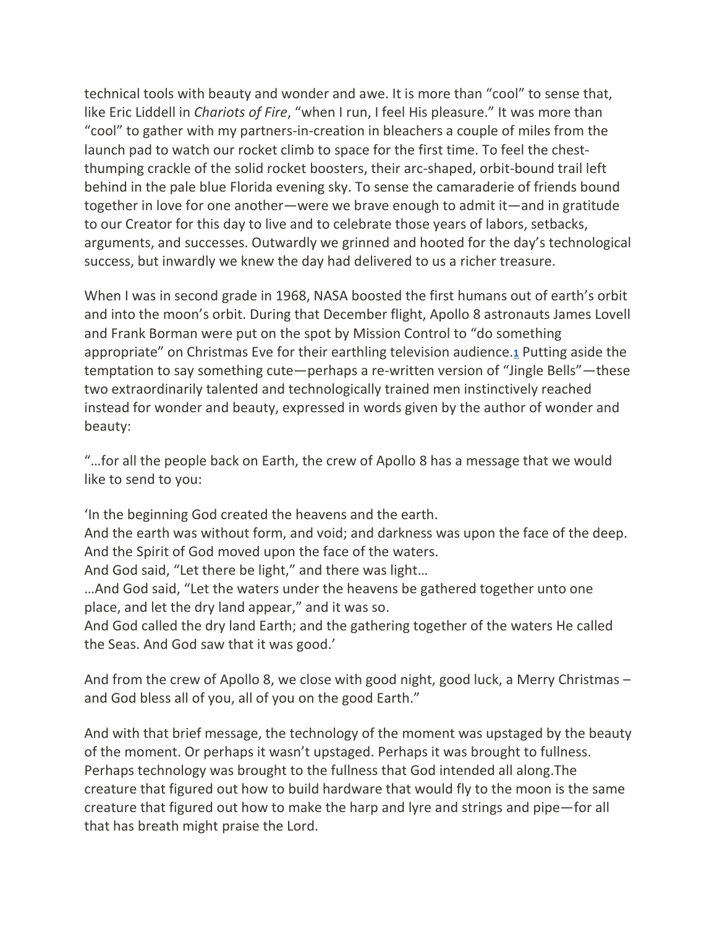technical tools with beauty and wonder and awe. It is more than "cool" to sense that, like Eric Liddell in *Chariots of Fire*, "when I run, I feel His pleasure." It was more than "cool" to gather with my partners-in-creation in bleachers a couple of miles from the launch pad to watch our rocket climb to space for the first time. To feel the chestthumping crackle of the solid rocket boosters, their arc-shaped, orbit-bound trail left behind in the pale blue Florida evening sky. To sense the camaraderie of friends bound together in love for one another—were we brave enough to admit it—and in gratitude to our Creator for this day to live and to celebrate those years of labors, setbacks, arguments, and successes. Outwardly we grinned and hooted for the day's technological success, but inwardly we knew the day had delivered to us a richer treasure.

When I was in second grade in 1968, NASA boosted the first humans out of earth's orbit and into the moon's orbit. During that December flight, Apollo 8 astronauts James Lovell and Frank Borman were put on the spot by Mission Control to "do something appropriate" on Christmas Eve for their earthling television audience.**[1](https://inallthings.org/all-that-has-breath/#fn1-16500)** Putting aside the temptation to say something cute—perhaps a re-written version of "Jingle Bells"—these two extraordinarily talented and technologically trained men instinctively reached instead for wonder and beauty, expressed in words given by the author of wonder and beauty:

"…for all the people back on Earth, the crew of Apollo 8 has a message that we would like to send to you:

'In the beginning God created the heavens and the earth.

And the earth was without form, and void; and darkness was upon the face of the deep. And the Spirit of God moved upon the face of the waters.

And God said, "Let there be light," and there was light…

…And God said, "Let the waters under the heavens be gathered together unto one place, and let the dry land appear," and it was so.

And God called the dry land Earth; and the gathering together of the waters He called the Seas. And God saw that it was good.'

And from the crew of Apollo 8, we close with good night, good luck, a Merry Christmas – and God bless all of you, all of you on the good Earth."

And with that brief message, the technology of the moment was upstaged by the beauty of the moment. Or perhaps it wasn't upstaged. Perhaps it was brought to fullness. Perhaps technology was brought to the fullness that God intended all along.The creature that figured out how to build hardware that would fly to the moon is the same creature that figured out how to make the harp and lyre and strings and pipe—for all that has breath might praise the Lord.